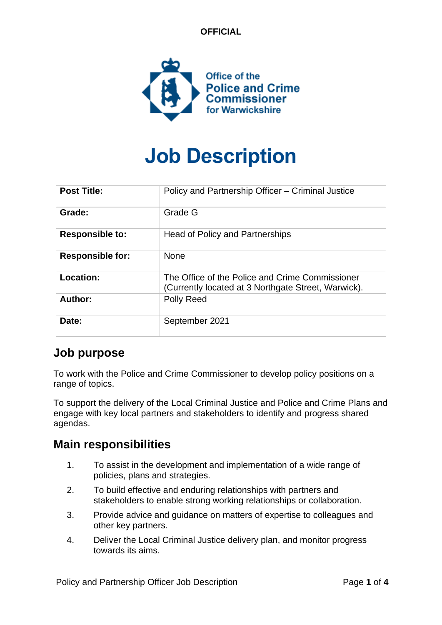**OFFICIAL**



# **Job Description**

| <b>Post Title:</b>      | Policy and Partnership Officer – Criminal Justice                                                      |
|-------------------------|--------------------------------------------------------------------------------------------------------|
| Grade:                  | Grade G                                                                                                |
| <b>Responsible to:</b>  | Head of Policy and Partnerships                                                                        |
| <b>Responsible for:</b> | <b>None</b>                                                                                            |
| Location:               | The Office of the Police and Crime Commissioner<br>(Currently located at 3 Northgate Street, Warwick). |
| Author:                 | Polly Reed                                                                                             |
| Date:                   | September 2021                                                                                         |

#### **Job purpose**

To work with the Police and Crime Commissioner to develop policy positions on a range of topics.

To support the delivery of the Local Criminal Justice and Police and Crime Plans and engage with key local partners and stakeholders to identify and progress shared agendas.

#### **Main responsibilities**

- 1. To assist in the development and implementation of a wide range of policies, plans and strategies.
- 2. To build effective and enduring relationships with partners and stakeholders to enable strong working relationships or collaboration.
- 3. Provide advice and guidance on matters of expertise to colleagues and other key partners.
- 4. Deliver the Local Criminal Justice delivery plan, and monitor progress towards its aims.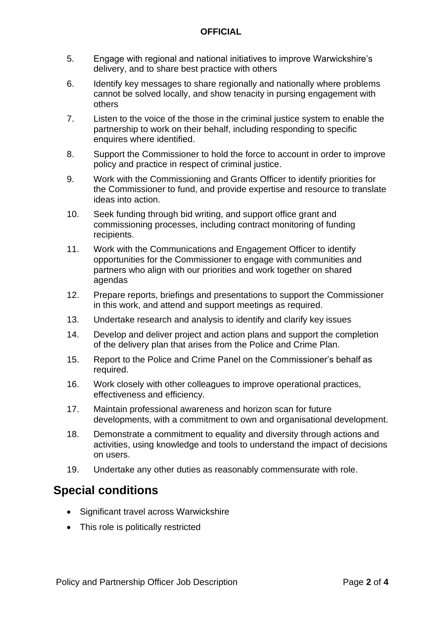#### **OFFICIAL**

- 5. Engage with regional and national initiatives to improve Warwickshire's delivery, and to share best practice with others
- 6. Identify key messages to share regionally and nationally where problems cannot be solved locally, and show tenacity in pursing engagement with others
- 7. Listen to the voice of the those in the criminal justice system to enable the partnership to work on their behalf, including responding to specific enquires where identified.
- 8. Support the Commissioner to hold the force to account in order to improve policy and practice in respect of criminal justice.
- 9. Work with the Commissioning and Grants Officer to identify priorities for the Commissioner to fund, and provide expertise and resource to translate ideas into action.
- 10. Seek funding through bid writing, and support office grant and commissioning processes, including contract monitoring of funding recipients.
- 11. Work with the Communications and Engagement Officer to identify opportunities for the Commissioner to engage with communities and partners who align with our priorities and work together on shared agendas
- 12. Prepare reports, briefings and presentations to support the Commissioner in this work, and attend and support meetings as required.
- 13. Undertake research and analysis to identify and clarify key issues
- 14. Develop and deliver project and action plans and support the completion of the delivery plan that arises from the Police and Crime Plan.
- 15. Report to the Police and Crime Panel on the Commissioner's behalf as required.
- 16. Work closely with other colleagues to improve operational practices, effectiveness and efficiency.
- 17. Maintain professional awareness and horizon scan for future developments, with a commitment to own and organisational development.
- 18. Demonstrate a commitment to equality and diversity through actions and activities, using knowledge and tools to understand the impact of decisions on users.
- 19. Undertake any other duties as reasonably commensurate with role.

#### **Special conditions**

- Significant travel across Warwickshire
- This role is politically restricted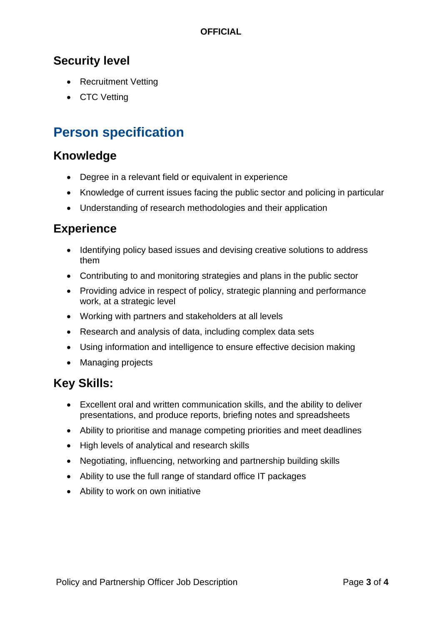#### **OFFICIAL**

### **Security level**

- Recruitment Vetting
- CTC Vetting

## **Person specification**

#### **Knowledge**

- Degree in a relevant field or equivalent in experience
- Knowledge of current issues facing the public sector and policing in particular
- Understanding of research methodologies and their application

#### **Experience**

- Identifying policy based issues and devising creative solutions to address them
- Contributing to and monitoring strategies and plans in the public sector
- Providing advice in respect of policy, strategic planning and performance work, at a strategic level
- Working with partners and stakeholders at all levels
- Research and analysis of data, including complex data sets
- Using information and intelligence to ensure effective decision making
- Managing projects

## **Key Skills:**

- Excellent oral and written communication skills, and the ability to deliver presentations, and produce reports, briefing notes and spreadsheets
- Ability to prioritise and manage competing priorities and meet deadlines
- High levels of analytical and research skills
- Negotiating, influencing, networking and partnership building skills
- Ability to use the full range of standard office IT packages
- Ability to work on own initiative